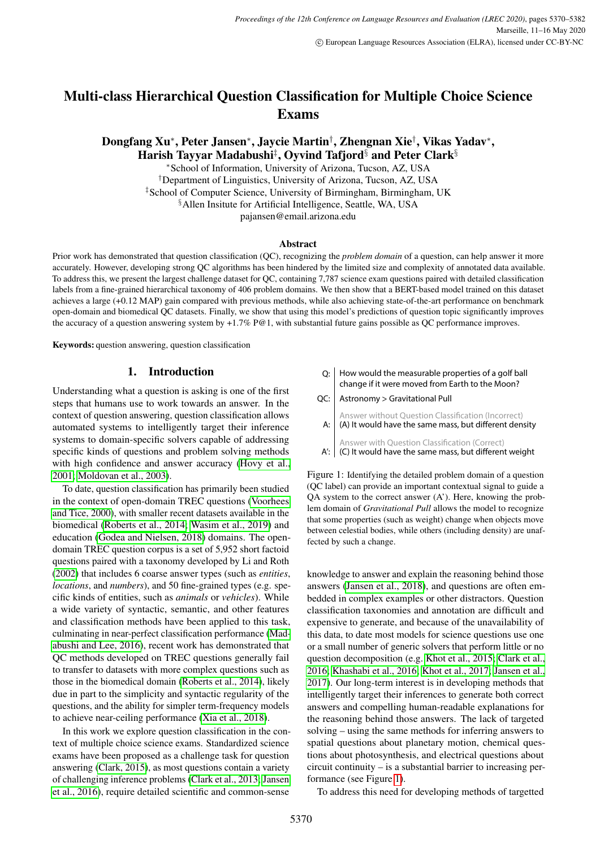# Multi-class Hierarchical Question Classification for Multiple Choice Science Exams

Dongfang Xu\*, Peter Jansen\*, Jaycie Martin†, Zhengnan Xie†, Vikas Yadav\*, Harish Tayyar Madabushi $^\ddagger,$  Oyvind Tafjord $^\S$  and Peter Clark $^\S$ 

<sup>∗</sup>School of Information, University of Arizona, Tucson, AZ, USA †Department of Linguistics, University of Arizona, Tucson, AZ, USA ‡School of Computer Science, University of Birmingham, Birmingham, UK §Allen Insitute for Artificial Intelligence, Seattle, WA, USA pajansen@email.arizona.edu

#### Abstract

Prior work has demonstrated that question classification (QC), recognizing the *problem domain* of a question, can help answer it more accurately. However, developing strong QC algorithms has been hindered by the limited size and complexity of annotated data available. To address this, we present the largest challenge dataset for QC, containing 7,787 science exam questions paired with detailed classification labels from a fine-grained hierarchical taxonomy of 406 problem domains. We then show that a BERT-based model trained on this dataset achieves a large (+0.12 MAP) gain compared with previous methods, while also achieving state-of-the-art performance on benchmark open-domain and biomedical QC datasets. Finally, we show that using this model's predictions of question topic significantly improves the accuracy of a question answering system by  $+1.7\%$  P@1, with substantial future gains possible as QC performance improves.

Keywords: question answering, question classification

### 1. Introduction

Understanding what a question is asking is one of the first steps that humans use to work towards an answer. In the context of question answering, question classification allows automated systems to intelligently target their inference systems to domain-specific solvers capable of addressing specific kinds of questions and problem solving methods with high confidence and answer accuracy [\(Hovy et al.,](#page-7-0) [2001;](#page-7-0) [Moldovan et al., 2003\)](#page-8-0).

To date, question classification has primarily been studied in the context of open-domain TREC questions [\(Voorhees](#page-8-1) [and Tice, 2000\)](#page-8-1), with smaller recent datasets available in the biomedical [\(Roberts et al., 2014;](#page-8-2) [Wasim et al., 2019\)](#page-8-3) and education [\(Godea and Nielsen, 2018\)](#page-7-1) domains. The opendomain TREC question corpus is a set of 5,952 short factoid questions paired with a taxonomy developed by Li and Roth [\(2002\)](#page-8-4) that includes 6 coarse answer types (such as *entities*, *locations*, and *numbers*), and 50 fine-grained types (e.g. specific kinds of entities, such as *animals* or *vehicles*). While a wide variety of syntactic, semantic, and other features and classification methods have been applied to this task, culminating in near-perfect classification performance [\(Mad](#page-8-5)[abushi and Lee, 2016\)](#page-8-5), recent work has demonstrated that QC methods developed on TREC questions generally fail to transfer to datasets with more complex questions such as those in the biomedical domain [\(Roberts et al., 2014\)](#page-8-2), likely due in part to the simplicity and syntactic regularity of the questions, and the ability for simpler term-frequency models to achieve near-ceiling performance [\(Xia et al., 2018\)](#page-8-6).

In this work we explore question classification in the context of multiple choice science exams. Standardized science exams have been proposed as a challenge task for question answering [\(Clark, 2015\)](#page-7-2), as most questions contain a variety of challenging inference problems [\(Clark et al., 2013;](#page-7-3) [Jansen](#page-7-4) [et al., 2016\)](#page-7-4), require detailed scientific and common-sense

| $Q:$ How would the measurable properties of a golf ball |
|---------------------------------------------------------|
| change if it were moved from Earth to the Moon?         |

QC: | Astronomy > Gravitational Pull

| Answer without Question Classification (Incorrect)<br>A: (A) It would have the same mass, but different density |
|-----------------------------------------------------------------------------------------------------------------|
| Answer with Question Classification (Correct)<br>A': C) It would have the same mass, but different weight       |

<span id="page-0-0"></span>Figure 1: Identifying the detailed problem domain of a question (QC label) can provide an important contextual signal to guide a QA system to the correct answer (A'). Here, knowing the problem domain of *Gravitational Pull* allows the model to recognize that some properties (such as weight) change when objects move between celestial bodies, while others (including density) are unaffected by such a change.

knowledge to answer and explain the reasoning behind those answers [\(Jansen et al., 2018\)](#page-7-5), and questions are often embedded in complex examples or other distractors. Question classification taxonomies and annotation are difficult and expensive to generate, and because of the unavailability of this data, to date most models for science questions use one or a small number of generic solvers that perform little or no question decomposition (e.g. [Khot et al., 2015;](#page-7-6) [Clark et al.,](#page-7-7) [2016;](#page-7-7) [Khashabi et al., 2016;](#page-7-8) [Khot et al., 2017;](#page-7-9) [Jansen et al.,](#page-7-10) [2017\)](#page-7-10). Our long-term interest is in developing methods that intelligently target their inferences to generate both correct answers and compelling human-readable explanations for the reasoning behind those answers. The lack of targeted solving – using the same methods for inferring answers to spatial questions about planetary motion, chemical questions about photosynthesis, and electrical questions about circuit continuity – is a substantial barrier to increasing performance (see Figure [1\)](#page-0-0).

To address this need for developing methods of targetted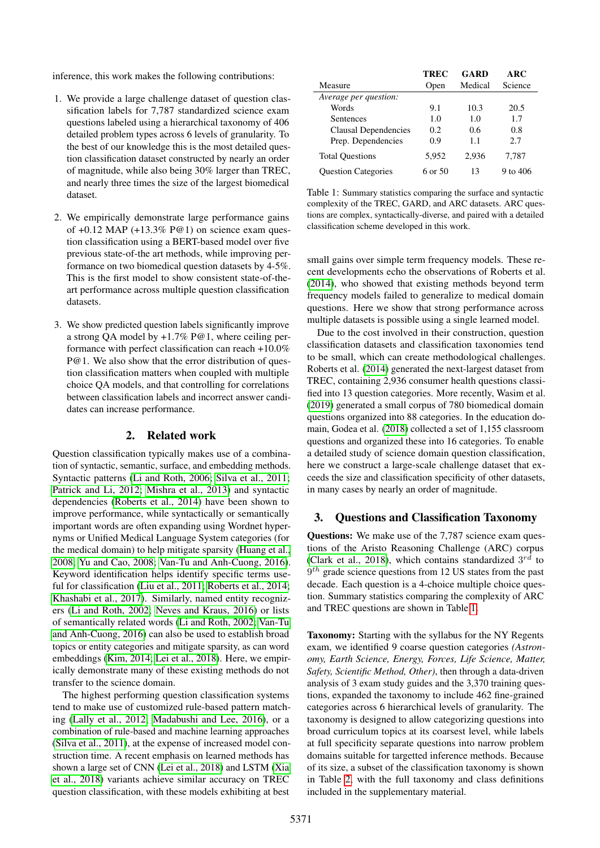inference, this work makes the following contributions:

- 1. We provide a large challenge dataset of question classification labels for 7,787 standardized science exam questions labeled using a hierarchical taxonomy of 406 detailed problem types across 6 levels of granularity. To the best of our knowledge this is the most detailed question classification dataset constructed by nearly an order of magnitude, while also being 30% larger than TREC, and nearly three times the size of the largest biomedical dataset.
- 2. We empirically demonstrate large performance gains of  $+0.12$  MAP  $(+13.3\%$  P@1) on science exam question classification using a BERT-based model over five previous state-of-the art methods, while improving performance on two biomedical question datasets by 4-5%. This is the first model to show consistent state-of-theart performance across multiple question classification datasets.
- 3. We show predicted question labels significantly improve a strong QA model by +1.7% P@1, where ceiling performance with perfect classification can reach +10.0% P@1. We also show that the error distribution of question classification matters when coupled with multiple choice QA models, and that controlling for correlations between classification labels and incorrect answer candidates can increase performance.

### 2. Related work

Question classification typically makes use of a combination of syntactic, semantic, surface, and embedding methods. Syntactic patterns [\(Li and Roth, 2006;](#page-8-7) [Silva et al., 2011;](#page-8-8) [Patrick and Li, 2012;](#page-8-9) [Mishra et al., 2013\)](#page-8-10) and syntactic dependencies [\(Roberts et al., 2014\)](#page-8-2) have been shown to improve performance, while syntactically or semantically important words are often expanding using Wordnet hypernyms or Unified Medical Language System categories (for the medical domain) to help mitigate sparsity [\(Huang et al.,](#page-7-11) [2008;](#page-7-11) [Yu and Cao, 2008;](#page-8-11) [Van-Tu and Anh-Cuong, 2016\)](#page-8-12). Keyword identification helps identify specific terms useful for classification [\(Liu et al., 2011;](#page-8-13) [Roberts et al., 2014;](#page-8-2) [Khashabi et al., 2017\)](#page-7-12). Similarly, named entity recognizers [\(Li and Roth, 2002;](#page-8-4) [Neves and Kraus, 2016\)](#page-8-14) or lists of semantically related words [\(Li and Roth, 2002;](#page-8-4) [Van-Tu](#page-8-12) [and Anh-Cuong, 2016\)](#page-8-12) can also be used to establish broad topics or entity categories and mitigate sparsity, as can word embeddings [\(Kim, 2014;](#page-7-13) [Lei et al., 2018\)](#page-7-14). Here, we empirically demonstrate many of these existing methods do not transfer to the science domain.

The highest performing question classification systems tend to make use of customized rule-based pattern matching [\(Lally et al., 2012;](#page-7-15) [Madabushi and Lee, 2016\)](#page-8-5), or a combination of rule-based and machine learning approaches [\(Silva et al., 2011\)](#page-8-8), at the expense of increased model construction time. A recent emphasis on learned methods has shown a large set of CNN [\(Lei et al., 2018\)](#page-7-14) and LSTM [\(Xia](#page-8-6) [et al., 2018\)](#page-8-6) variants achieve similar accuracy on TREC question classification, with these models exhibiting at best

|                            | TREC    | GARD    | <b>ARC</b> |
|----------------------------|---------|---------|------------|
| Measure                    | Open    | Medical | Science    |
| Average per question:      |         |         |            |
| Words                      | 9.1     | 10.3    | 20.5       |
| Sentences                  | 1.0     | 1.0     | 1.7        |
| Clausal Dependencies       | 0.2     | 0.6     | 0.8        |
| Prep. Dependencies         | 0.9     | 1.1     | 2.7        |
| <b>Total Questions</b>     | 5,952   | 2,936   | 7,787      |
| <b>Ouestion Categories</b> | 6 or 50 | 13      | 9 to $406$ |

<span id="page-1-0"></span>Table 1: Summary statistics comparing the surface and syntactic complexity of the TREC, GARD, and ARC datasets. ARC questions are complex, syntactically-diverse, and paired with a detailed classification scheme developed in this work.

small gains over simple term frequency models. These recent developments echo the observations of Roberts et al. [\(2014\)](#page-8-2), who showed that existing methods beyond term frequency models failed to generalize to medical domain questions. Here we show that strong performance across multiple datasets is possible using a single learned model.

Due to the cost involved in their construction, question classification datasets and classification taxonomies tend to be small, which can create methodological challenges. Roberts et al. [\(2014\)](#page-8-2) generated the next-largest dataset from TREC, containing 2,936 consumer health questions classified into 13 question categories. More recently, Wasim et al. [\(2019\)](#page-8-3) generated a small corpus of 780 biomedical domain questions organized into 88 categories. In the education domain, Godea et al. [\(2018\)](#page-7-1) collected a set of 1,155 classroom questions and organized these into 16 categories. To enable a detailed study of science domain question classification, here we construct a large-scale challenge dataset that exceeds the size and classification specificity of other datasets, in many cases by nearly an order of magnitude.

### 3. Questions and Classification Taxonomy

**Questions:** We make use of the 7,787 science exam questions of the Aristo Reasoning Challenge (ARC) corpus [\(Clark et al., 2018\)](#page-7-16), which contains standardized  $3^{rd}$  to  $9<sup>th</sup>$  grade science questions from 12 US states from the past decade. Each question is a 4-choice multiple choice question. Summary statistics comparing the complexity of ARC and TREC questions are shown in Table [1.](#page-1-0)

Taxonomy: Starting with the syllabus for the NY Regents exam, we identified 9 coarse question categories *(Astronomy, Earth Science, Energy, Forces, Life Science, Matter, Safety, Scientific Method, Other)*, then through a data-driven analysis of 3 exam study guides and the 3,370 training questions, expanded the taxonomy to include 462 fine-grained categories across 6 hierarchical levels of granularity. The taxonomy is designed to allow categorizing questions into broad curriculum topics at its coarsest level, while labels at full specificity separate questions into narrow problem domains suitable for targetted inference methods. Because of its size, a subset of the classification taxonomy is shown in Table [2,](#page-2-0) with the full taxonomy and class definitions included in the supplementary material.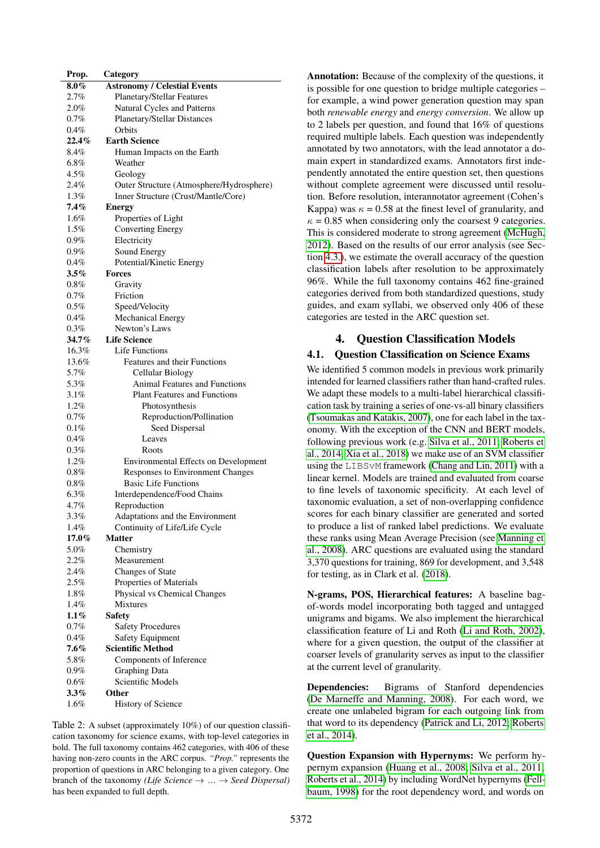| Prop.              | Category                                        |
|--------------------|-------------------------------------------------|
| $8.0\%$            | <b>Astronomy / Celestial Events</b>             |
| 2.7%               | Planetary/Stellar Features                      |
| 2.0%               | Natural Cycles and Patterns                     |
| $0.7\%$            | <b>Planetary/Stellar Distances</b>              |
| $0.4\%$            | Orbits                                          |
| $22.4\%$           | <b>Earth Science</b>                            |
| 8.4%               | Human Impacts on the Earth                      |
| $6.8\%$            | Weather                                         |
| $4.5\%$            | Geology                                         |
| $2.4\%$            | Outer Structure (Atmosphere/Hydrosphere)        |
| $1.3\%$            | Inner Structure (Crust/Mantle/Core)             |
| 7.4%               | <b>Energy</b>                                   |
| $1.6\%$            | Properties of Light                             |
| 1.5%               | <b>Converting Energy</b>                        |
| $0.9\%$            | Electricity                                     |
| $0.9\%$            | Sound Energy                                    |
| $0.4\%$            | Potential/Kinetic Energy                        |
| $3.5\%$            | Forces                                          |
| $0.8\%$            | Gravity                                         |
| $0.7\%$            | Friction                                        |
| $0.5\%$            | Speed/Velocity                                  |
| $0.4\%$            | <b>Mechanical Energy</b>                        |
| $0.3\%$            | Newton's Laws                                   |
| $34.7\%$           | <b>Life Science</b>                             |
| 16.3%              | Life Functions                                  |
| 13.6%              | <b>Features and their Functions</b>             |
| 5.7%               | Cellular Biology                                |
| 5.3%               | <b>Animal Features and Functions</b>            |
| $3.1\%$            | <b>Plant Features and Functions</b>             |
| 1.2%               | Photosynthesis                                  |
| $0.7\%$            | Reproduction/Pollination                        |
| $0.1\%$            | Seed Dispersal                                  |
| $0.4\%$            | Leaves                                          |
| $0.3\%$            | Roots                                           |
| $1.2\%$            | Environmental Effects on Development            |
| $0.8\%$            | <b>Responses to Environment Changes</b>         |
| $0.8\%$            | <b>Basic Life Functions</b>                     |
| 6.3%               | Interdependence/Food Chains                     |
| 4.7%               | Reproduction                                    |
| 3.3%               | Adaptations and the Environment                 |
| 1.4%               | Continuity of Life/Life Cycle                   |
| 17.0%              | <b>Matter</b>                                   |
| 5.0%               | Chemistry                                       |
| 2.2%               | Measurement                                     |
| 2.4%               | <b>Changes of State</b>                         |
| 2.5%<br>1.8%       | Properties of Materials                         |
|                    | Physical vs Chemical Changes                    |
| 1.4%               | Mixtures                                        |
| $1.1\%$<br>0.7%    | Safety                                          |
| $0.4\%$            | <b>Safety Procedures</b>                        |
|                    | Safety Equipment<br><b>Scientific Method</b>    |
| 7.6%               |                                                 |
| $5.8\%$<br>$0.9\%$ | Components of Inference<br><b>Graphing Data</b> |
| $0.6\%$            | Scientific Models                               |
| $3.3\%$            | Other                                           |
| 1.6%               | <b>History of Science</b>                       |
|                    |                                                 |

<span id="page-2-0"></span>Table 2: A subset (approximately 10%) of our question classification taxonomy for science exams, with top-level categories in bold. The full taxonomy contains 462 categories, with 406 of these having non-zero counts in the ARC corpus. *"Prop."* represents the proportion of questions in ARC belonging to a given category. One branch of the taxonomy *(Life Science* → ... → *Seed Dispersal)* has been expanded to full depth.

Annotation: Because of the complexity of the questions, it is possible for one question to bridge multiple categories – for example, a wind power generation question may span both *renewable energy* and *energy conversion*. We allow up to 2 labels per question, and found that 16% of questions required multiple labels. Each question was independently annotated by two annotators, with the lead annotator a domain expert in standardized exams. Annotators first independently annotated the entire question set, then questions without complete agreement were discussed until resolution. Before resolution, interannotator agreement (Cohen's Kappa) was  $\kappa = 0.58$  at the finest level of granularity, and  $\kappa = 0.85$  when considering only the coarsest 9 categories. This is considered moderate to strong agreement [\(McHugh,](#page-8-15) [2012\)](#page-8-15). Based on the results of our error analysis (see Section [4.3.\)](#page-4-0), we estimate the overall accuracy of the question classification labels after resolution to be approximately 96%. While the full taxonomy contains 462 fine-grained categories derived from both standardized questions, study guides, and exam syllabi, we observed only 406 of these categories are tested in the ARC question set.

## 4. Question Classification Models

### 4.1. Question Classification on Science Exams

We identified 5 common models in previous work primarily intended for learned classifiers rather than hand-crafted rules. We adapt these models to a multi-label hierarchical classification task by training a series of one-vs-all binary classifiers [\(Tsoumakas and Katakis, 2007\)](#page-8-16), one for each label in the taxonomy. With the exception of the CNN and BERT models, following previous work (e.g. [Silva et al., 2011;](#page-8-8) [Roberts et](#page-8-2) [al., 2014;](#page-8-2) [Xia et al., 2018\)](#page-8-6) we make use of an SVM classifier using the LIBSvM framework [\(Chang and Lin, 2011\)](#page-7-17) with a linear kernel. Models are trained and evaluated from coarse to fine levels of taxonomic specificity. At each level of taxonomic evaluation, a set of non-overlapping confidence scores for each binary classifier are generated and sorted to produce a list of ranked label predictions. We evaluate these ranks using Mean Average Precision (see [Manning et](#page-8-17) [al., 2008\)](#page-8-17). ARC questions are evaluated using the standard 3,370 questions for training, 869 for development, and 3,548 for testing, as in Clark et al. [\(2018\)](#page-7-16).

N-grams, POS, Hierarchical features: A baseline bagof-words model incorporating both tagged and untagged unigrams and bigams. We also implement the hierarchical classification feature of Li and Roth [\(Li and Roth, 2002\)](#page-8-4), where for a given question, the output of the classifier at coarser levels of granularity serves as input to the classifier at the current level of granularity.

Dependencies: Bigrams of Stanford dependencies [\(De Marneffe and Manning, 2008\)](#page-7-18). For each word, we create one unlabeled bigram for each outgoing link from that word to its dependency [\(Patrick and Li, 2012;](#page-8-9) [Roberts](#page-8-2) [et al., 2014\)](#page-8-2).

Question Expansion with Hypernyms: We perform hypernym expansion [\(Huang et al., 2008;](#page-7-11) [Silva et al., 2011;](#page-8-8) [Roberts et al., 2014\)](#page-8-2) by including WordNet hypernyms [\(Fell](#page-7-19)[baum, 1998\)](#page-7-19) for the root dependency word, and words on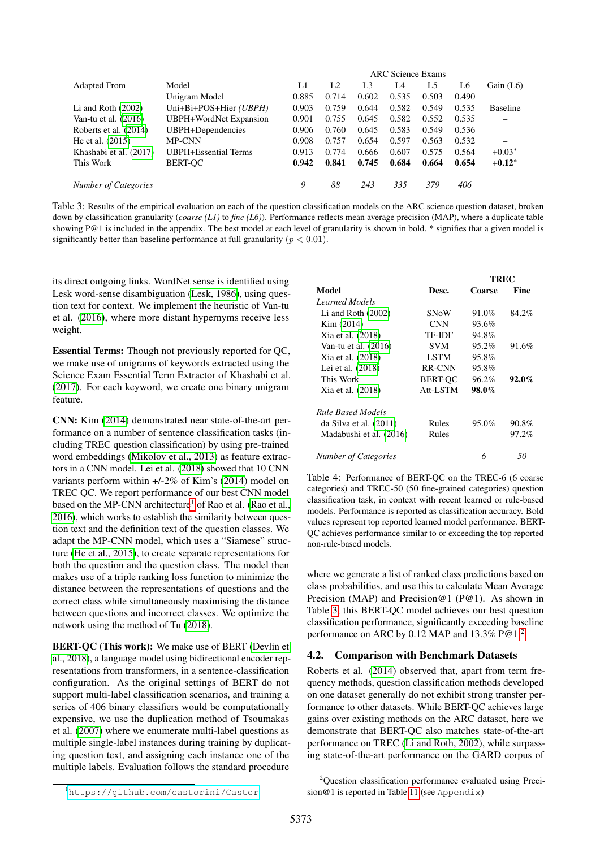|                               | <b>ARC</b> Science Exams |                |       |       |       |       |                      |
|-------------------------------|--------------------------|----------------|-------|-------|-------|-------|----------------------|
| Model                         | L1                       | L <sub>2</sub> | L3    | L4    | L5    | L6    | Gain $(L6)$          |
| Unigram Model                 | 0.885                    | 0.714          | 0.602 | 0.535 | 0.503 | 0.490 |                      |
| Uni+Bi+POS+Hier (UBPH)        | 0.903                    | 0.759          | 0.644 | 0.582 | 0.549 | 0.535 | <b>Baseline</b>      |
| <b>UBPH+WordNet Expansion</b> | 0.901                    | 0.755          | 0.645 | 0.582 | 0.552 | 0.535 |                      |
| UBPH+Dependencies             | 0.906                    | 0.760          | 0.645 | 0.583 | 0.549 | 0.536 |                      |
| MP-CNN                        | 0.908                    | 0.757          | 0.654 | 0.597 | 0.563 | 0.532 |                      |
| <b>UBPH+Essential Terms</b>   | 0.913                    | 0.774          | 0.666 | 0.607 | 0.575 | 0.564 | $+0.03*$             |
| <b>BERT-OC</b>                | 0.942                    | 0.841          | 0.745 | 0.684 | 0.664 | 0.654 | $+0.12$ <sup>*</sup> |
|                               |                          |                |       |       |       |       |                      |
|                               | 9                        | 88             | 243   | 335   | 379   | 406   |                      |
|                               |                          |                |       |       |       |       |                      |

<span id="page-3-1"></span>Table 3: Results of the empirical evaluation on each of the question classification models on the ARC science question dataset, broken down by classification granularity (*coarse (L1)* to *fine (L6)*). Performance reflects mean average precision (MAP), where a duplicate table showing P@1 is included in the appendix. The best model at each level of granularity is shown in bold. \* signifies that a given model is significantly better than baseline performance at full granularity ( $p < 0.01$ ).

its direct outgoing links. WordNet sense is identified using Lesk word-sense disambiguation [\(Lesk, 1986\)](#page-7-21), using question text for context. We implement the heuristic of Van-tu et al. [\(2016\)](#page-8-12), where more distant hypernyms receive less weight.

Essential Terms: Though not previously reported for QC, we make use of unigrams of keywords extracted using the Science Exam Essential Term Extractor of Khashabi et al. [\(2017\)](#page-7-12). For each keyword, we create one binary unigram feature.

CNN: Kim [\(2014\)](#page-7-13) demonstrated near state-of-the-art performance on a number of sentence classification tasks (including TREC question classification) by using pre-trained word embeddings [\(Mikolov et al., 2013\)](#page-8-18) as feature extractors in a CNN model. Lei et al. [\(2018\)](#page-7-14) showed that 10 CNN variants perform within +/-2% of Kim's [\(2014\)](#page-7-13) model on TREC QC. We report performance of our best CNN model based on the MP-CNN architecture<sup>[1](#page-3-0)</sup> of Rao et al. [\(Rao et al.,](#page-8-19) [2016\)](#page-8-19), which works to establish the similarity between question text and the definition text of the question classes. We adapt the MP-CNN model, which uses a "Siamese" structure [\(He et al., 2015\)](#page-7-20), to create separate representations for both the question and the question class. The model then makes use of a triple ranking loss function to minimize the distance between the representations of questions and the correct class while simultaneously maximising the distance between questions and incorrect classes. We optimize the network using the method of Tu [\(2018\)](#page-8-20).

BERT-QC (This work): We make use of BERT [\(Devlin et](#page-7-22) [al., 2018\)](#page-7-22), a language model using bidirectional encoder representations from transformers, in a sentence-classification configuration. As the original settings of BERT do not support multi-label classification scenarios, and training a series of 406 binary classifiers would be computationally expensive, we use the duplication method of Tsoumakas et al. [\(2007\)](#page-8-16) where we enumerate multi-label questions as multiple single-label instances during training by duplicating question text, and assigning each instance one of the multiple labels. Evaluation follows the standard procedure

|                             |                | <b>TREC</b> |          |  |
|-----------------------------|----------------|-------------|----------|--|
| Model                       | Desc.          | Coarse      | Fine     |  |
| Learned Models              |                |             |          |  |
| Li and Roth $(2002)$        | <b>SNoW</b>    | 91.0%       | 84.2%    |  |
| Kim (2014)                  | <b>CNN</b>     | 93.6%       |          |  |
| Xia et al. (2018)           | TF-IDF         | 94.8%       |          |  |
| Van-tu et al. $(2016)$      | SVM            | 95.2%       | 91.6%    |  |
| Xia et al. (2018)           | <b>LSTM</b>    | 95.8%       |          |  |
| Lei et al. (2018)           | RR-CNN         | 95.8%       |          |  |
| This Work                   | <b>BERT-OC</b> | 96.2%       | $92.0\%$ |  |
| Xia et al. (2018)           | Att-LSTM       | 98.0%       |          |  |
| <b>Rule Based Models</b>    |                |             |          |  |
| da Silva et al. $(2011)$    | Rules          | 95.0%       | 90.8%    |  |
| Madabushi et al. (2016)     | Rules          |             | 97.2%    |  |
| <b>Number of Categories</b> |                | 6           | 50       |  |

<span id="page-3-3"></span>Table 4: Performance of BERT-QC on the TREC-6 (6 coarse categories) and TREC-50 (50 fine-grained categories) question classification task, in context with recent learned or rule-based models. Performance is reported as classification accuracy. Bold values represent top reported learned model performance. BERT-QC achieves performance similar to or exceeding the top reported non-rule-based models.

where we generate a list of ranked class predictions based on class probabilities, and use this to calculate Mean Average Precision (MAP) and Precision@1 (P@1). As shown in Table [3,](#page-3-1) this BERT-QC model achieves our best question classification performance, significantly exceeding baseline performance on ARC by 0.12 MAP and 13.3% P@1.[2](#page-3-2)

### 4.2. Comparison with Benchmark Datasets

Roberts et al. [\(2014\)](#page-8-2) observed that, apart from term frequency methods, question classification methods developed on one dataset generally do not exhibit strong transfer performance to other datasets. While BERT-QC achieves large gains over existing methods on the ARC dataset, here we demonstrate that BERT-QC also matches state-of-the-art performance on TREC [\(Li and Roth, 2002\)](#page-8-4), while surpassing state-of-the-art performance on the GARD corpus of

<span id="page-3-0"></span><sup>1</sup><https://github.com/castorini/Castor>

<span id="page-3-2"></span><sup>2</sup>Question classification performance evaluated using Precision@1 is reported in Table [11](#page-10-0) (see Appendix)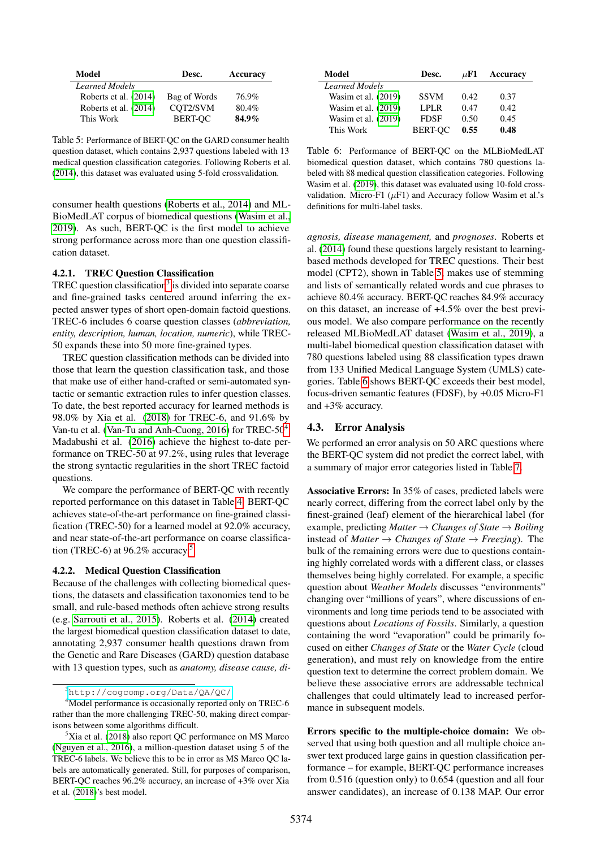| Model                 | Desc.          | Accuracy |  |
|-----------------------|----------------|----------|--|
| <b>Learned Models</b> |                |          |  |
| Roberts et al. (2014) | Bag of Words   | 76.9%    |  |
| Roberts et al. (2014) | COT2/SVM       | 80.4%    |  |
| This Work             | <b>BERT-OC</b> | 84.9%    |  |

<span id="page-4-4"></span>Table 5: Performance of BERT-QC on the GARD consumer health question dataset, which contains 2,937 questions labeled with 13 medical question classification categories. Following Roberts et al. [\(2014\)](#page-8-2), this dataset was evaluated using 5-fold crossvalidation.

consumer health questions [\(Roberts et al., 2014\)](#page-8-2) and ML-BioMedLAT corpus of biomedical questions [\(Wasim et al.,](#page-8-3) [2019\)](#page-8-3). As such, BERT-QC is the first model to achieve strong performance across more than one question classification dataset.

#### 4.2.1. TREC Question Classification

TREC question classification<sup>[3](#page-4-1)</sup> is divided into separate coarse and fine-grained tasks centered around inferring the expected answer types of short open-domain factoid questions. TREC-6 includes 6 coarse question classes (*abbreviation, entity, description, human, location, numeric*), while TREC-50 expands these into 50 more fine-grained types.

TREC question classification methods can be divided into those that learn the question classification task, and those that make use of either hand-crafted or semi-automated syntactic or semantic extraction rules to infer question classes. To date, the best reported accuracy for learned methods is 98.0% by Xia et al. [\(2018\)](#page-8-6) for TREC-6, and 91.6% by Van-tu et al. [\(Van-Tu and Anh-Cuong, 2016\)](#page-8-12) for TREC-50<sup>[4](#page-4-2)</sup>. Madabushi et al. [\(2016\)](#page-8-5) achieve the highest to-date performance on TREC-50 at 97.2%, using rules that leverage the strong syntactic regularities in the short TREC factoid questions.

We compare the performance of BERT-QC with recently reported performance on this dataset in Table [4.](#page-3-3) BERT-QC achieves state-of-the-art performance on fine-grained classification (TREC-50) for a learned model at 92.0% accuracy, and near state-of-the-art performance on coarse classifica-tion (TREC-6) at 96.2% accuracy.<sup>[5](#page-4-3)</sup>

#### 4.2.2. Medical Question Classification

Because of the challenges with collecting biomedical questions, the datasets and classification taxonomies tend to be small, and rule-based methods often achieve strong results (e.g. [Sarrouti et al., 2015\)](#page-8-21). Roberts et al. [\(2014\)](#page-8-2) created the largest biomedical question classification dataset to date, annotating 2,937 consumer health questions drawn from the Genetic and Rare Diseases (GARD) question database with 13 question types, such as *anatomy, disease cause, di-*

| Model               | Desc.          | $\mu$ F1 | Accuracy |
|---------------------|----------------|----------|----------|
| Learned Models      |                |          |          |
| Wasim et al. (2019) | <b>SSVM</b>    | 0.42.    | 0.37     |
| Wasim et al. (2019) | LPLR.          | 0.47     | 0.42     |
| Wasim et al. (2019) | <b>FDSF</b>    | 0.50     | 0.45     |
| This Work           | <b>BERT-OC</b> | 0.55     | 0.48     |

<span id="page-4-5"></span>Table 6: Performance of BERT-QC on the MLBioMedLAT biomedical question dataset, which contains 780 questions labeled with 88 medical question classification categories. Following Wasim et al. [\(2019\)](#page-8-3), this dataset was evaluated using 10-fold crossvalidation. Micro-F1 ( $\mu$ F1) and Accuracy follow Wasim et al.'s definitions for multi-label tasks.

*agnosis, disease management,* and *prognoses*. Roberts et al. [\(2014\)](#page-8-2) found these questions largely resistant to learningbased methods developed for TREC questions. Their best model (CPT2), shown in Table [5,](#page-4-4) makes use of stemming and lists of semantically related words and cue phrases to achieve 80.4% accuracy. BERT-QC reaches 84.9% accuracy on this dataset, an increase of +4.5% over the best previous model. We also compare performance on the recently released MLBioMedLAT dataset [\(Wasim et al., 2019\)](#page-8-3), a multi-label biomedical question classification dataset with 780 questions labeled using 88 classification types drawn from 133 Unified Medical Language System (UMLS) categories. Table [6](#page-4-5) shows BERT-QC exceeds their best model, focus-driven semantic features (FDSF), by +0.05 Micro-F1 and +3% accuracy.

#### <span id="page-4-0"></span>4.3. Error Analysis

We performed an error analysis on 50 ARC questions where the BERT-QC system did not predict the correct label, with a summary of major error categories listed in Table [7.](#page-5-0)

Associative Errors: In 35% of cases, predicted labels were nearly correct, differing from the correct label only by the finest-grained (leaf) element of the hierarchical label (for example, predicting *Matter*  $\rightarrow$  *Changes of State*  $\rightarrow$  *Boiling* instead of *Matter*  $\rightarrow$  *Changes of State*  $\rightarrow$  *Freezing*). The bulk of the remaining errors were due to questions containing highly correlated words with a different class, or classes themselves being highly correlated. For example, a specific question about *Weather Models* discusses "environments" changing over "millions of years", where discussions of environments and long time periods tend to be associated with questions about *Locations of Fossils*. Similarly, a question containing the word "evaporation" could be primarily focused on either *Changes of State* or the *Water Cycle* (cloud generation), and must rely on knowledge from the entire question text to determine the correct problem domain. We believe these associative errors are addressable technical challenges that could ultimately lead to increased performance in subsequent models.

Errors specific to the multiple-choice domain: We observed that using both question and all multiple choice answer text produced large gains in question classification performance – for example, BERT-QC performance increases from 0.516 (question only) to 0.654 (question and all four answer candidates), an increase of 0.138 MAP. Our error

<span id="page-4-2"></span><span id="page-4-1"></span><sup>3</sup><http://cogcomp.org/Data/QA/QC/>

<sup>&</sup>lt;sup>4</sup>Model performance is occasionally reported only on TREC-6 rather than the more challenging TREC-50, making direct comparisons between some algorithms difficult.

<span id="page-4-3"></span> ${}^{5}$ Xia et al. [\(2018\)](#page-8-6) also report QC performance on MS Marco [\(Nguyen et al., 2016\)](#page-8-22), a million-question dataset using 5 of the TREC-6 labels. We believe this to be in error as MS Marco QC labels are automatically generated. Still, for purposes of comparison, BERT-QC reaches 96.2% accuracy, an increase of +3% over Xia et al. [\(2018\)](#page-8-6)'s best model.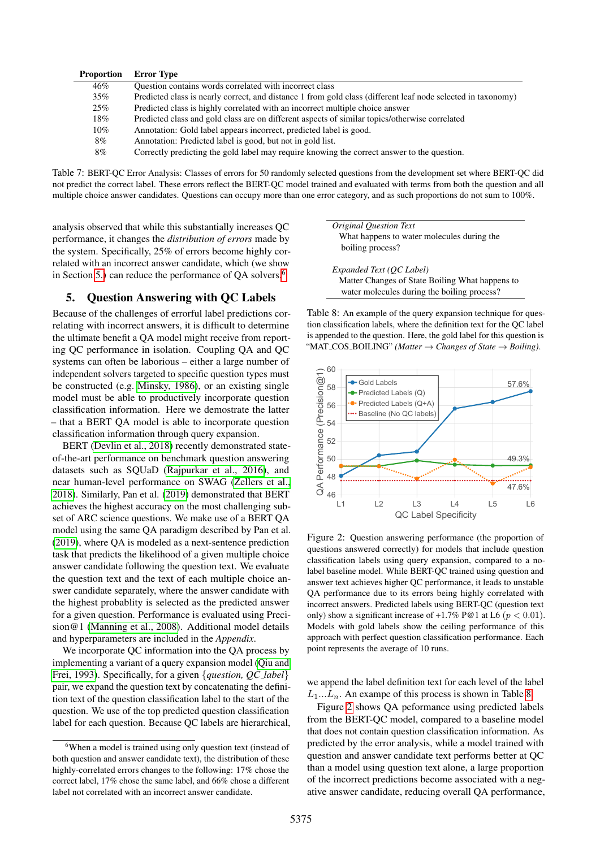| <b>Proportion</b> | <b>Error Type</b>                                                                                            |
|-------------------|--------------------------------------------------------------------------------------------------------------|
| 46%               | Question contains words correlated with incorrect class                                                      |
| $35\%$            | Predicted class is nearly correct, and distance 1 from gold class (different leaf node selected in taxonomy) |
| $25\%$            | Predicted class is highly correlated with an incorrect multiple choice answer                                |
| 18%               | Predicted class and gold class are on different aspects of similar topics/otherwise correlated               |
| $10\%$            | Annotation: Gold label appears incorrect, predicted label is good.                                           |
| 8%                | Annotation: Predicted label is good, but not in gold list.                                                   |
| 8%                | Correctly predicting the gold label may require knowing the correct answer to the question.                  |

<span id="page-5-0"></span>Table 7: BERT-QC Error Analysis: Classes of errors for 50 randomly selected questions from the development set where BERT-QC did not predict the correct label. These errors reflect the BERT-QC model trained and evaluated with terms from both the question and all multiple choice answer candidates. Questions can occupy more than one error category, and as such proportions do not sum to 100%.

analysis observed that while this substantially increases QC performance, it changes the *distribution of errors* made by the system. Specifically, 25% of errors become highly correlated with an incorrect answer candidate, which (we show in Section [5.\)](#page-5-1) can reduce the performance of QA solvers.<sup>[6](#page-5-2)</sup>

### <span id="page-5-1"></span>5. Question Answering with QC Labels

Because of the challenges of errorful label predictions correlating with incorrect answers, it is difficult to determine the ultimate benefit a QA model might receive from reporting QC performance in isolation. Coupling QA and QC systems can often be laborious – either a large number of independent solvers targeted to specific question types must be constructed (e.g. [Minsky, 1986\)](#page-8-23), or an existing single model must be able to productively incorporate question classification information. Here we demostrate the latter – that a BERT QA model is able to incorporate question classification information through query expansion.

BERT [\(Devlin et al., 2018\)](#page-7-22) recently demonstrated stateof-the-art performance on benchmark question answering datasets such as SQUaD [\(Rajpurkar et al., 2016\)](#page-8-24), and near human-level performance on SWAG [\(Zellers et al.,](#page-8-25) [2018\)](#page-8-25). Similarly, Pan et al. [\(2019\)](#page-8-26) demonstrated that BERT achieves the highest accuracy on the most challenging subset of ARC science questions. We make use of a BERT QA model using the same QA paradigm described by Pan et al. [\(2019\)](#page-8-26), where QA is modeled as a next-sentence prediction task that predicts the likelihood of a given multiple choice answer candidate following the question text. We evaluate the question text and the text of each multiple choice answer candidate separately, where the answer candidate with the highest probablity is selected as the predicted answer for a given question. Performance is evaluated using Precision@1 [\(Manning et al., 2008\)](#page-8-17). Additional model details and hyperparameters are included in the *Appendix*.

We incorporate QC information into the QA process by implementing a variant of a query expansion model [\(Qiu and](#page-8-27) [Frei, 1993\)](#page-8-27). Specifically, for a given {*question, QC label*} pair, we expand the question text by concatenating the definition text of the question classification label to the start of the question. We use of the top predicted question classification label for each question. Because QC labels are hierarchical,



*Expanded Text (QC Label)* Matter Changes of State Boiling What happens to water molecules during the boiling process?

<span id="page-5-3"></span>Table 8: An example of the query expansion technique for question classification labels, where the definition text for the QC label is appended to the question. Here, the gold label for this question is "MAT COS BOILING" *(Matter* → *Changes of State* → *Boiling)*.



<span id="page-5-4"></span>Figure 2: Question answering performance (the proportion of questions answered correctly) for models that include question classification labels using query expansion, compared to a nolabel baseline model. While BERT-QC trained using question and answer text achieves higher QC performance, it leads to unstable QA performance due to its errors being highly correlated with incorrect answers. Predicted labels using BERT-QC (question text only) show a significant increase of  $+1.7\%$  P@1 at L6 ( $p < 0.01$ ). Models with gold labels show the ceiling performance of this approach with perfect question classification performance. Each point represents the average of 10 runs.

we append the label definition text for each level of the label  $L_1...L_n$ . An exampe of this process is shown in Table [8.](#page-5-3)

Figure [2](#page-5-4) shows QA peformance using predicted labels from the BERT-QC model, compared to a baseline model that does not contain question classification information. As predicted by the error analysis, while a model trained with question and answer candidate text performs better at QC than a model using question text alone, a large proportion of the incorrect predictions become associated with a negative answer candidate, reducing overall QA performance,

<span id="page-5-2"></span><sup>6</sup>When a model is trained using only question text (instead of both question and answer candidate text), the distribution of these highly-correlated errors changes to the following: 17% chose the correct label, 17% chose the same label, and 66% chose a different label not correlated with an incorrect answer candidate.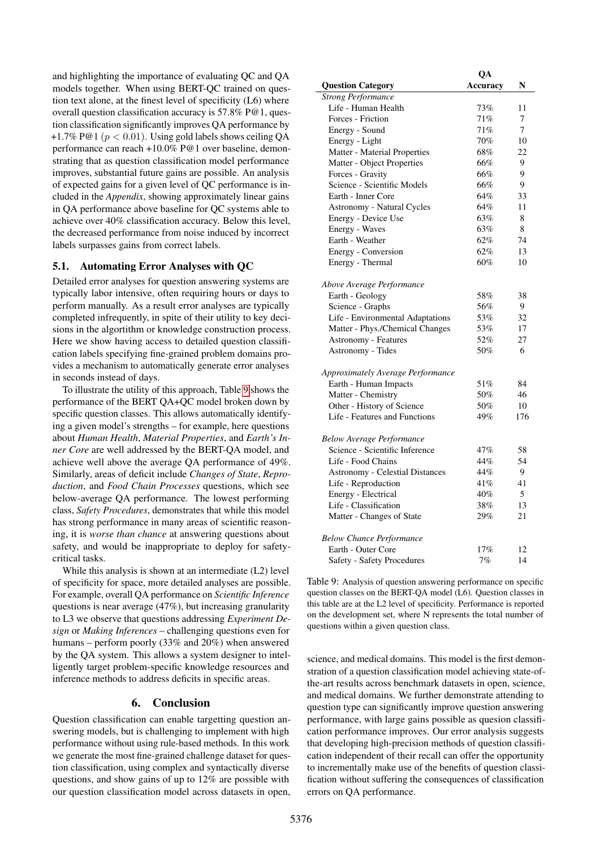and highlighting the importance of evaluating QC and QA models together. When using BERT-QC trained on question text alone, at the finest level of specificity (L6) where overall question classification accuracy is 57.8% P@1, question classification significantly improves QA performance by +1.7% P@1 ( $p < 0.01$ ). Using gold labels shows ceiling QA performance can reach +10.0% P@1 over baseline, demonstrating that as question classification model performance improves, substantial future gains are possible. An analysis of expected gains for a given level of QC performance is included in the *Appendix*, showing approximately linear gains in QA performance above baseline for QC systems able to achieve over 40% classification accuracy. Below this level, the decreased performance from noise induced by incorrect labels surpasses gains from correct labels.

### 5.1. Automating Error Analyses with QC

Detailed error analyses for question answering systems are typically labor intensive, often requiring hours or days to perform manually. As a result error analyses are typically completed infrequently, in spite of their utility to key decisions in the algortithm or knowledge construction process. Here we show having access to detailed question classification labels specifying fine-grained problem domains provides a mechanism to automatically generate error analyses in seconds instead of days.

To illustrate the utility of this approach, Table [9](#page-6-0) shows the performance of the BERT QA+QC model broken down by specific question classes. This allows automatically identifying a given model's strengths – for example, here questions about *Human Health*, *Material Properties*, and *Earth's Inner Core* are well addressed by the BERT-QA model, and achieve well above the average QA performance of 49%. Similarly, areas of deficit include *Changes of State*, *Reproduction*, and *Food Chain Processes* questions, which see below-average QA performance. The lowest performing class, *Safety Procedures*, demonstrates that while this model has strong performance in many areas of scientific reasoning, it is *worse than chance* at answering questions about safety, and would be inappropriate to deploy for safetycritical tasks.

While this analysis is shown at an intermediate (L2) level of specificity for space, more detailed analyses are possible. For example, overall QA performance on *Scientific Inference* questions is near average (47%), but increasing granularity to L3 we observe that questions addressing *Experiment Design* or *Making Inferences* – challenging questions even for humans – perform poorly (33% and 20%) when answered by the QA system. This allows a system designer to intelligently target problem-specific knowledge resources and inference methods to address deficits in specific areas.

### 6. Conclusion

Question classification can enable targetting question answering models, but is challenging to implement with high performance without using rule-based methods. In this work we generate the most fine-grained challenge dataset for question classification, using complex and syntactically diverse questions, and show gains of up to 12% are possible with our question classification model across datasets in open,

|                                        | QA       |     |
|----------------------------------------|----------|-----|
| <b>Question Category</b>               | Accuracy | N   |
| <b>Strong Performance</b>              |          |     |
| Life - Human Health                    | 73%      | 11  |
| Forces - Friction                      | 71%      | 7   |
| Energy - Sound                         | $71\%$   | 7   |
| Energy - Light                         | 70%      | 10  |
| Matter - Material Properties           | 68%      | 22  |
| Matter - Object Properties             | 66%      | 9   |
| Forces - Gravity                       | 66%      | 9   |
| Science - Scientific Models            | 66%      | 9   |
| Earth - Inner Core                     | 64%      | 33  |
| Astronomy - Natural Cycles             | 64%      | 11  |
| Energy - Device Use                    | 63%      | 8   |
| Energy - Waves                         | 63%      | 8   |
| Earth - Weather                        | 62%      | 74  |
| Energy - Conversion                    | 62%      | 13  |
| Energy - Thermal                       | 60%      | 10  |
|                                        |          |     |
| Above Average Performance              |          |     |
| Earth - Geology                        | 58%      | 38  |
| Science - Graphs                       | 56%      | 9   |
| Life - Environmental Adaptations       | 53%      | 32  |
| Matter - Phys./Chemical Changes        | 53%      | 17  |
| <b>Astronomy - Features</b>            | 52%      | 27  |
| Astronomy - Tides                      | 50%      | 6   |
|                                        |          |     |
| Approximately Average Performance      |          |     |
| Earth - Human Impacts                  | 51%      | 84  |
| Matter - Chemistry                     | 50%      | 46  |
| Other - History of Science             | 50%      | 10  |
| Life - Features and Functions          | 49%      | 176 |
|                                        |          |     |
| <b>Below Average Performance</b>       |          |     |
| Science - Scientific Inference         | 47%      | 58  |
| Life - Food Chains                     | 44%      | 54  |
| <b>Astronomy - Celestial Distances</b> | 44%      | 9   |
| Life - Reproduction                    | 41%      | 41  |
| Energy - Electrical                    | 40%      | 5   |
| Life - Classification                  | 38%      | 13  |
| Matter - Changes of State              | 29%      | 21  |
| <b>Below Chance Performance</b>        |          |     |
| Earth - Outer Core                     | 17%      | 12  |
| Safety - Safety Procedures             | 7%       | 14  |

<span id="page-6-0"></span>Table 9: Analysis of question answering performance on specific question classes on the BERT-QA model (L6). Question classes in this table are at the L2 level of specificity. Performance is reported on the development set, where N represents the total number of questions within a given question class.

science, and medical domains. This model is the first demonstration of a question classification model achieving state-ofthe-art results across benchmark datasets in open, science, and medical domains. We further demonstrate attending to question type can significantly improve question answering performance, with large gains possible as quesion classification performance improves. Our error analysis suggests that developing high-precision methods of question classification independent of their recall can offer the opportunity to incrementally make use of the benefits of question classification without suffering the consequences of classification errors on QA performance.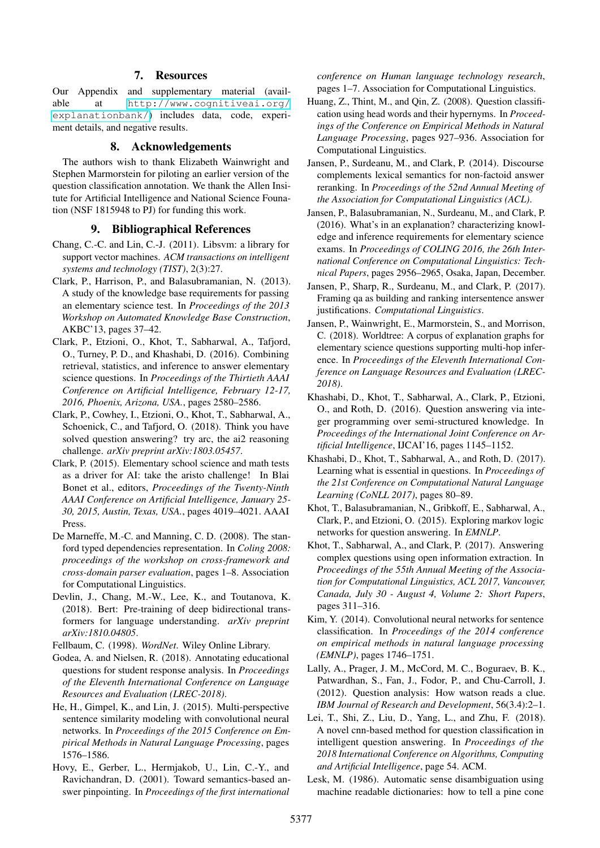### 7. Resources

Our Appendix and supplementary material (available at [http://www.cognitiveai.org/](http://www.cognitiveai.org/explanationbank/) [explanationbank/](http://www.cognitiveai.org/explanationbank/)) includes data, code, experiment details, and negative results.

#### 8. Acknowledgements

The authors wish to thank Elizabeth Wainwright and Stephen Marmorstein for piloting an earlier version of the question classification annotation. We thank the Allen Insitute for Artificial Intelligence and National Science Founation (NSF 1815948 to PJ) for funding this work.

#### 9. Bibliographical References

- <span id="page-7-17"></span>Chang, C.-C. and Lin, C.-J. (2011). Libsvm: a library for support vector machines. *ACM transactions on intelligent systems and technology (TIST)*, 2(3):27.
- <span id="page-7-3"></span>Clark, P., Harrison, P., and Balasubramanian, N. (2013). A study of the knowledge base requirements for passing an elementary science test. In *Proceedings of the 2013 Workshop on Automated Knowledge Base Construction*, AKBC'13, pages 37–42.
- <span id="page-7-7"></span>Clark, P., Etzioni, O., Khot, T., Sabharwal, A., Tafjord, O., Turney, P. D., and Khashabi, D. (2016). Combining retrieval, statistics, and inference to answer elementary science questions. In *Proceedings of the Thirtieth AAAI Conference on Artificial Intelligence, February 12-17, 2016, Phoenix, Arizona, USA.*, pages 2580–2586.
- <span id="page-7-16"></span>Clark, P., Cowhey, I., Etzioni, O., Khot, T., Sabharwal, A., Schoenick, C., and Tafjord, O. (2018). Think you have solved question answering? try arc, the ai2 reasoning challenge. *arXiv preprint arXiv:1803.05457*.
- <span id="page-7-2"></span>Clark, P. (2015). Elementary school science and math tests as a driver for AI: take the aristo challenge! In Blai Bonet et al., editors, *Proceedings of the Twenty-Ninth AAAI Conference on Artificial Intelligence, January 25- 30, 2015, Austin, Texas, USA.*, pages 4019–4021. AAAI Press.
- <span id="page-7-18"></span>De Marneffe, M.-C. and Manning, C. D. (2008). The stanford typed dependencies representation. In *Coling 2008: proceedings of the workshop on cross-framework and cross-domain parser evaluation*, pages 1–8. Association for Computational Linguistics.
- <span id="page-7-22"></span>Devlin, J., Chang, M.-W., Lee, K., and Toutanova, K. (2018). Bert: Pre-training of deep bidirectional transformers for language understanding. *arXiv preprint arXiv:1810.04805*.

<span id="page-7-19"></span>Fellbaum, C. (1998). *WordNet*. Wiley Online Library.

- <span id="page-7-1"></span>Godea, A. and Nielsen, R. (2018). Annotating educational questions for student response analysis. In *Proceedings of the Eleventh International Conference on Language Resources and Evaluation (LREC-2018)*.
- <span id="page-7-20"></span>He, H., Gimpel, K., and Lin, J. (2015). Multi-perspective sentence similarity modeling with convolutional neural networks. In *Proceedings of the 2015 Conference on Empirical Methods in Natural Language Processing*, pages 1576–1586.
- <span id="page-7-0"></span>Hovy, E., Gerber, L., Hermjakob, U., Lin, C.-Y., and Ravichandran, D. (2001). Toward semantics-based answer pinpointing. In *Proceedings of the first international*

*conference on Human language technology research*, pages 1–7. Association for Computational Linguistics.

- <span id="page-7-11"></span>Huang, Z., Thint, M., and Qin, Z. (2008). Question classification using head words and their hypernyms. In *Proceedings of the Conference on Empirical Methods in Natural Language Processing*, pages 927–936. Association for Computational Linguistics.
- <span id="page-7-23"></span>Jansen, P., Surdeanu, M., and Clark, P. (2014). Discourse complements lexical semantics for non-factoid answer reranking. In *Proceedings of the 52nd Annual Meeting of the Association for Computational Linguistics (ACL)*.
- <span id="page-7-4"></span>Jansen, P., Balasubramanian, N., Surdeanu, M., and Clark, P. (2016). What's in an explanation? characterizing knowledge and inference requirements for elementary science exams. In *Proceedings of COLING 2016, the 26th International Conference on Computational Linguistics: Technical Papers*, pages 2956–2965, Osaka, Japan, December.
- <span id="page-7-10"></span>Jansen, P., Sharp, R., Surdeanu, M., and Clark, P. (2017). Framing qa as building and ranking intersentence answer justifications. *Computational Linguistics*.
- <span id="page-7-5"></span>Jansen, P., Wainwright, E., Marmorstein, S., and Morrison, C. (2018). Worldtree: A corpus of explanation graphs for elementary science questions supporting multi-hop inference. In *Proceedings of the Eleventh International Conference on Language Resources and Evaluation (LREC-2018)*.
- <span id="page-7-8"></span>Khashabi, D., Khot, T., Sabharwal, A., Clark, P., Etzioni, O., and Roth, D. (2016). Question answering via integer programming over semi-structured knowledge. In *Proceedings of the International Joint Conference on Artificial Intelligence*, IJCAI'16, pages 1145–1152.
- <span id="page-7-12"></span>Khashabi, D., Khot, T., Sabharwal, A., and Roth, D. (2017). Learning what is essential in questions. In *Proceedings of the 21st Conference on Computational Natural Language Learning (CoNLL 2017)*, pages 80–89.
- <span id="page-7-6"></span>Khot, T., Balasubramanian, N., Gribkoff, E., Sabharwal, A., Clark, P., and Etzioni, O. (2015). Exploring markov logic networks for question answering. In *EMNLP*.
- <span id="page-7-9"></span>Khot, T., Sabharwal, A., and Clark, P. (2017). Answering complex questions using open information extraction. In *Proceedings of the 55th Annual Meeting of the Association for Computational Linguistics, ACL 2017, Vancouver, Canada, July 30 - August 4, Volume 2: Short Papers*, pages 311–316.
- <span id="page-7-13"></span>Kim, Y. (2014). Convolutional neural networks for sentence classification. In *Proceedings of the 2014 conference on empirical methods in natural language processing (EMNLP)*, pages 1746–1751.
- <span id="page-7-15"></span>Lally, A., Prager, J. M., McCord, M. C., Boguraev, B. K., Patwardhan, S., Fan, J., Fodor, P., and Chu-Carroll, J. (2012). Question analysis: How watson reads a clue. *IBM Journal of Research and Development*, 56(3.4):2–1.
- <span id="page-7-14"></span>Lei, T., Shi, Z., Liu, D., Yang, L., and Zhu, F. (2018). A novel cnn-based method for question classification in intelligent question answering. In *Proceedings of the 2018 International Conference on Algorithms, Computing and Artificial Intelligence*, page 54. ACM.
- <span id="page-7-21"></span>Lesk, M. (1986). Automatic sense disambiguation using machine readable dictionaries: how to tell a pine cone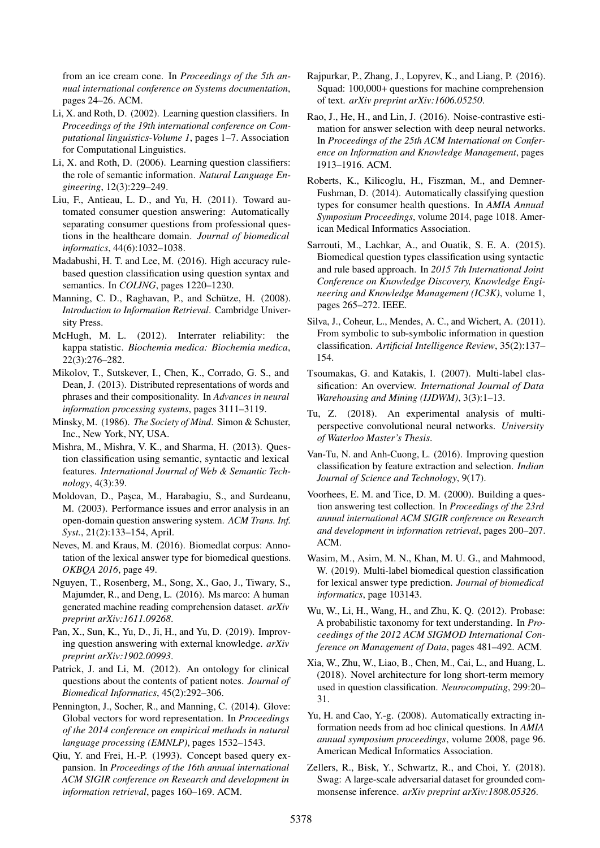from an ice cream cone. In *Proceedings of the 5th annual international conference on Systems documentation*, pages 24–26. ACM.

- <span id="page-8-4"></span>Li, X. and Roth, D. (2002). Learning question classifiers. In *Proceedings of the 19th international conference on Computational linguistics-Volume 1*, pages 1–7. Association for Computational Linguistics.
- <span id="page-8-7"></span>Li, X. and Roth, D. (2006). Learning question classifiers: the role of semantic information. *Natural Language Engineering*, 12(3):229–249.
- <span id="page-8-13"></span>Liu, F., Antieau, L. D., and Yu, H. (2011). Toward automated consumer question answering: Automatically separating consumer questions from professional questions in the healthcare domain. *Journal of biomedical informatics*, 44(6):1032–1038.
- <span id="page-8-5"></span>Madabushi, H. T. and Lee, M. (2016). High accuracy rulebased question classification using question syntax and semantics. In *COLING*, pages 1220–1230.
- <span id="page-8-17"></span>Manning, C. D., Raghavan, P., and Schütze, H. (2008). *Introduction to Information Retrieval*. Cambridge University Press.
- <span id="page-8-15"></span>McHugh, M. L. (2012). Interrater reliability: the kappa statistic. *Biochemia medica: Biochemia medica*, 22(3):276–282.
- <span id="page-8-18"></span>Mikolov, T., Sutskever, I., Chen, K., Corrado, G. S., and Dean, J. (2013). Distributed representations of words and phrases and their compositionality. In *Advances in neural information processing systems*, pages 3111–3119.
- <span id="page-8-23"></span>Minsky, M. (1986). *The Society of Mind*. Simon & Schuster, Inc., New York, NY, USA.
- <span id="page-8-10"></span>Mishra, M., Mishra, V. K., and Sharma, H. (2013). Question classification using semantic, syntactic and lexical features. *International Journal of Web & Semantic Technology*, 4(3):39.
- <span id="page-8-0"></span>Moldovan, D., Paşca, M., Harabagiu, S., and Surdeanu, M. (2003). Performance issues and error analysis in an open-domain question answering system. *ACM Trans. Inf. Syst.*, 21(2):133–154, April.
- <span id="page-8-14"></span>Neves, M. and Kraus, M. (2016). Biomedlat corpus: Annotation of the lexical answer type for biomedical questions. *OKBQA 2016*, page 49.
- <span id="page-8-22"></span>Nguyen, T., Rosenberg, M., Song, X., Gao, J., Tiwary, S., Majumder, R., and Deng, L. (2016). Ms marco: A human generated machine reading comprehension dataset. *arXiv preprint arXiv:1611.09268*.
- <span id="page-8-26"></span>Pan, X., Sun, K., Yu, D., Ji, H., and Yu, D. (2019). Improving question answering with external knowledge. *arXiv preprint arXiv:1902.00993*.
- <span id="page-8-9"></span>Patrick, J. and Li, M. (2012). An ontology for clinical questions about the contents of patient notes. *Journal of Biomedical Informatics*, 45(2):292–306.
- <span id="page-8-28"></span>Pennington, J., Socher, R., and Manning, C. (2014). Glove: Global vectors for word representation. In *Proceedings of the 2014 conference on empirical methods in natural language processing (EMNLP)*, pages 1532–1543.
- <span id="page-8-27"></span>Qiu, Y. and Frei, H.-P. (1993). Concept based query expansion. In *Proceedings of the 16th annual international ACM SIGIR conference on Research and development in information retrieval*, pages 160–169. ACM.
- <span id="page-8-24"></span>Rajpurkar, P., Zhang, J., Lopyrev, K., and Liang, P. (2016). Squad: 100,000+ questions for machine comprehension of text. *arXiv preprint arXiv:1606.05250*.
- <span id="page-8-19"></span>Rao, J., He, H., and Lin, J. (2016). Noise-contrastive estimation for answer selection with deep neural networks. In *Proceedings of the 25th ACM International on Conference on Information and Knowledge Management*, pages 1913–1916. ACM.
- <span id="page-8-2"></span>Roberts, K., Kilicoglu, H., Fiszman, M., and Demner-Fushman, D. (2014). Automatically classifying question types for consumer health questions. In *AMIA Annual Symposium Proceedings*, volume 2014, page 1018. American Medical Informatics Association.
- <span id="page-8-21"></span>Sarrouti, M., Lachkar, A., and Ouatik, S. E. A. (2015). Biomedical question types classification using syntactic and rule based approach. In *2015 7th International Joint Conference on Knowledge Discovery, Knowledge Engineering and Knowledge Management (IC3K)*, volume 1, pages 265–272. IEEE.
- <span id="page-8-8"></span>Silva, J., Coheur, L., Mendes, A. C., and Wichert, A. (2011). From symbolic to sub-symbolic information in question classification. *Artificial Intelligence Review*, 35(2):137– 154.
- <span id="page-8-16"></span>Tsoumakas, G. and Katakis, I. (2007). Multi-label classification: An overview. *International Journal of Data Warehousing and Mining (IJDWM)*, 3(3):1–13.
- <span id="page-8-20"></span>Tu, Z. (2018). An experimental analysis of multiperspective convolutional neural networks. *University of Waterloo Master's Thesis*.
- <span id="page-8-12"></span>Van-Tu, N. and Anh-Cuong, L. (2016). Improving question classification by feature extraction and selection. *Indian Journal of Science and Technology*, 9(17).
- <span id="page-8-1"></span>Voorhees, E. M. and Tice, D. M. (2000). Building a question answering test collection. In *Proceedings of the 23rd annual international ACM SIGIR conference on Research and development in information retrieval*, pages 200–207. ACM.
- <span id="page-8-3"></span>Wasim, M., Asim, M. N., Khan, M. U. G., and Mahmood, W. (2019). Multi-label biomedical question classification for lexical answer type prediction. *Journal of biomedical informatics*, page 103143.
- <span id="page-8-29"></span>Wu, W., Li, H., Wang, H., and Zhu, K. Q. (2012). Probase: A probabilistic taxonomy for text understanding. In *Proceedings of the 2012 ACM SIGMOD International Conference on Management of Data*, pages 481–492. ACM.
- <span id="page-8-6"></span>Xia, W., Zhu, W., Liao, B., Chen, M., Cai, L., and Huang, L. (2018). Novel architecture for long short-term memory used in question classification. *Neurocomputing*, 299:20– 31.
- <span id="page-8-11"></span>Yu, H. and Cao, Y.-g. (2008). Automatically extracting information needs from ad hoc clinical questions. In *AMIA annual symposium proceedings*, volume 2008, page 96. American Medical Informatics Association.
- <span id="page-8-25"></span>Zellers, R., Bisk, Y., Schwartz, R., and Choi, Y. (2018). Swag: A large-scale adversarial dataset for grounded commonsense inference. *arXiv preprint arXiv:1808.05326*.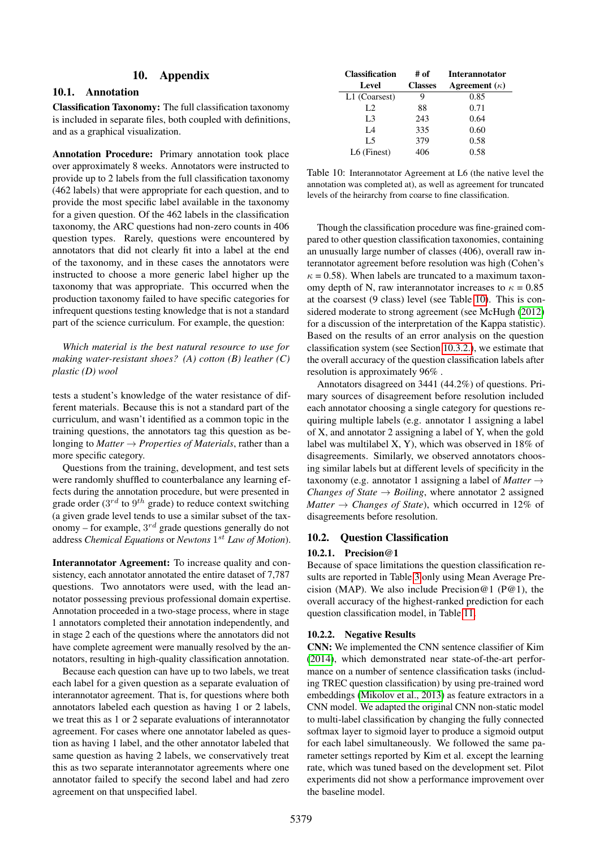### 10. Appendix

### 10.1. Annotation

Classification Taxonomy: The full classification taxonomy is included in separate files, both coupled with definitions, and as a graphical visualization.

Annotation Procedure: Primary annotation took place over approximately 8 weeks. Annotators were instructed to provide up to 2 labels from the full classification taxonomy (462 labels) that were appropriate for each question, and to provide the most specific label available in the taxonomy for a given question. Of the 462 labels in the classification taxonomy, the ARC questions had non-zero counts in 406 question types. Rarely, questions were encountered by annotators that did not clearly fit into a label at the end of the taxonomy, and in these cases the annotators were instructed to choose a more generic label higher up the taxonomy that was appropriate. This occurred when the production taxonomy failed to have specific categories for infrequent questions testing knowledge that is not a standard part of the science curriculum. For example, the question:

*Which material is the best natural resource to use for making water-resistant shoes? (A) cotton (B) leather (C) plastic (D) wool*

tests a student's knowledge of the water resistance of different materials. Because this is not a standard part of the curriculum, and wasn't identified as a common topic in the training questions, the annotators tag this question as belonging to *Matter* → *Properties of Materials*, rather than a more specific category.

Questions from the training, development, and test sets were randomly shuffled to counterbalance any learning effects during the annotation procedure, but were presented in grade order ( $3^{rd}$  to  $9^{th}$  grade) to reduce context switching (a given grade level tends to use a similar subset of the taxonomy – for example,  $3^{rd}$  grade questions generally do not address *Chemical Equations* or *Newtons* 1 st *Law of Motion*).

Interannotator Agreement: To increase quality and consistency, each annotator annotated the entire dataset of 7,787 questions. Two annotators were used, with the lead annotator possessing previous professional domain expertise. Annotation proceeded in a two-stage process, where in stage 1 annotators completed their annotation independently, and in stage 2 each of the questions where the annotators did not have complete agreement were manually resolved by the annotators, resulting in high-quality classification annotation.

Because each question can have up to two labels, we treat each label for a given question as a separate evaluation of interannotator agreement. That is, for questions where both annotators labeled each question as having 1 or 2 labels, we treat this as 1 or 2 separate evaluations of interannotator agreement. For cases where one annotator labeled as question as having 1 label, and the other annotator labeled that same question as having 2 labels, we conservatively treat this as two separate interannotator agreements where one annotator failed to specify the second label and had zero agreement on that unspecified label.

| <b>Classification</b> | # of           | <b>Interannotator</b> |
|-----------------------|----------------|-----------------------|
| Level                 | <b>Classes</b> | Agreement $(\kappa)$  |
| L1 (Coarsest)         | 9              | 0.85                  |
| L2                    | 88             | 0.71                  |
| L <sub>3</sub>        | 243            | 0.64                  |
| IA                    | 335            | 0.60                  |
| L5                    | 379            | 0.58                  |
| $L6$ (Finest)         | 406            | 0.58                  |

<span id="page-9-0"></span>Table 10: Interannotator Agreement at L6 (the native level the annotation was completed at), as well as agreement for truncated levels of the heirarchy from coarse to fine classification.

Though the classification procedure was fine-grained compared to other question classification taxonomies, containing an unusually large number of classes (406), overall raw interannotator agreement before resolution was high (Cohen's  $\kappa = 0.58$ ). When labels are truncated to a maximum taxonomy depth of N, raw interannotator increases to  $\kappa = 0.85$ at the coarsest (9 class) level (see Table [10\)](#page-9-0). This is considered moderate to strong agreement (see McHugh [\(2012\)](#page-8-15) for a discussion of the interpretation of the Kappa statistic). Based on the results of an error analysis on the question classification system (see Section [10.3.2.\)](#page-11-0), we estimate that the overall accuracy of the question classification labels after resolution is approximately 96% .

Annotators disagreed on 3441 (44.2%) of questions. Primary sources of disagreement before resolution included each annotator choosing a single category for questions requiring multiple labels (e.g. annotator 1 assigning a label of X, and annotator 2 assigning a label of Y, when the gold label was multilabel X, Y), which was observed in 18% of disagreements. Similarly, we observed annotators choosing similar labels but at different levels of specificity in the taxonomy (e.g. annotator 1 assigning a label of *Matter*  $\rightarrow$ *Changes of State*  $\rightarrow$  *Boiling*, where annotator 2 assigned *Matter*  $\rightarrow$  *Changes of State*), which occurred in 12% of disagreements before resolution.

#### 10.2. Question Classification

#### 10.2.1. Precision@1

Because of space limitations the question classification results are reported in Table [3](#page-3-1) only using Mean Average Precision (MAP). We also include Precision@1 (P@1), the overall accuracy of the highest-ranked prediction for each question classification model, in Table [11.](#page-10-0)

#### 10.2.2. Negative Results

CNN: We implemented the CNN sentence classifier of Kim [\(2014\)](#page-7-13), which demonstrated near state-of-the-art performance on a number of sentence classification tasks (including TREC question classification) by using pre-trained word embeddings [\(Mikolov et al., 2013\)](#page-8-18) as feature extractors in a CNN model. We adapted the original CNN non-static model to multi-label classification by changing the fully connected softmax layer to sigmoid layer to produce a sigmoid output for each label simultaneously. We followed the same parameter settings reported by Kim et al. except the learning rate, which was tuned based on the development set. Pilot experiments did not show a performance improvement over the baseline model.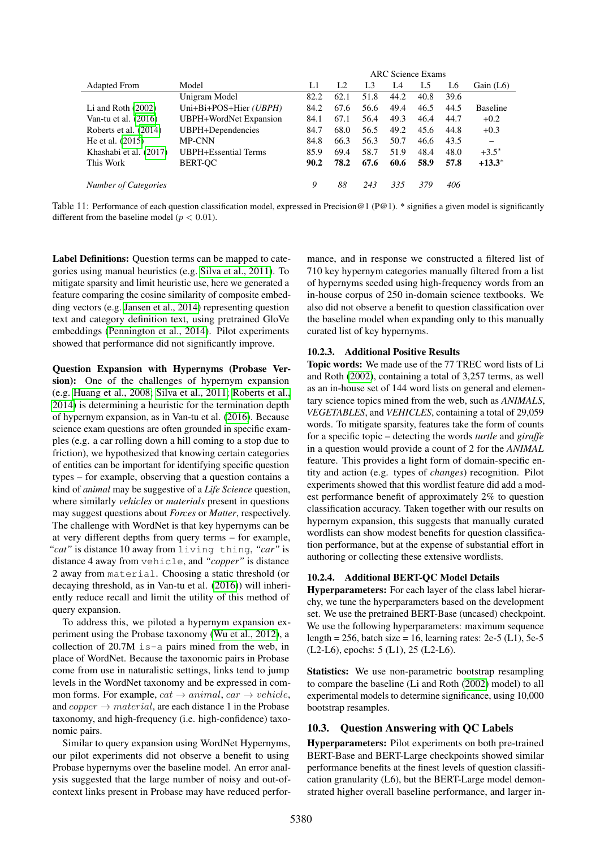|                             |                        |      |                |                |      | <b>ARC</b> Science Exams |      |                 |
|-----------------------------|------------------------|------|----------------|----------------|------|--------------------------|------|-----------------|
| <b>Adapted From</b>         | Model                  | L1   | L <sub>2</sub> | L <sub>3</sub> | I 4  | L5                       | L6   | Gain $(L6)$     |
|                             | Unigram Model          | 82.2 | 62.1           | 51.8           | 44.2 | 40.8                     | 39.6 |                 |
| Li and Roth $(2002)$        | Uni+Bi+POS+Hier (UBPH) | 84.2 | 67.6           | 56.6           | 49.4 | 46.5                     | 44.5 | <b>Baseline</b> |
| Van-tu et al. (2016)        | UBPH+WordNet Expansion | 84.1 | 67.1           | 56.4           | 49.3 | 46.4                     | 44.7 | $+0.2$          |
| Roberts et al. (2014)       | UBPH+Dependencies      | 84.7 | 68.0           | 56.5           | 49.2 | 45.6                     | 44.8 | $+0.3$          |
| He et al. $(2015)$          | <b>MP-CNN</b>          | 84.8 | 66.3           | 56.3           | 50.7 | 46.6                     | 43.5 |                 |
| Khashabi et al. (2017)      | UBPH+Essential Terms   | 85.9 | 69.4           | 58.7           | 51.9 | 48.4                     | 48.0 | $+3.5^*$        |
| This Work                   | <b>BERT-OC</b>         | 90.2 | 78.2           | 67.6           | 60.6 | 58.9                     | 57.8 | $+13.3^*$       |
| <b>Number of Categories</b> |                        | 9    | 88             | 243            | 335  | 379                      | 406  |                 |

<span id="page-10-0"></span>Table 11: Performance of each question classification model, expressed in Precision@1 (P@1). \* signifies a given model is significantly different from the baseline model ( $p < 0.01$ ).

Label Definitions: Question terms can be mapped to categories using manual heuristics (e.g. [Silva et al., 2011\)](#page-8-8). To mitigate sparsity and limit heuristic use, here we generated a feature comparing the cosine similarity of composite embedding vectors (e.g. [Jansen et al., 2014\)](#page-7-23) representing question text and category definition text, using pretrained GloVe embeddings [\(Pennington et al., 2014\)](#page-8-28). Pilot experiments showed that performance did not significantly improve.

Question Expansion with Hypernyms (Probase Version): One of the challenges of hypernym expansion (e.g. [Huang et al., 2008;](#page-7-11) [Silva et al., 2011;](#page-8-8) [Roberts et al.,](#page-8-2) [2014\)](#page-8-2) is determining a heuristic for the termination depth of hypernym expansion, as in Van-tu et al. [\(2016\)](#page-8-12). Because science exam questions are often grounded in specific examples (e.g. a car rolling down a hill coming to a stop due to friction), we hypothesized that knowing certain categories of entities can be important for identifying specific question types – for example, observing that a question contains a kind of *animal* may be suggestive of a *Life Science* question, where similarly *vehicles* or *materials* present in questions may suggest questions about *Forces* or *Matter*, respectively. The challenge with WordNet is that key hypernyms can be at very different depths from query terms – for example, *"cat"* is distance 10 away from living thing, *"car"* is distance 4 away from vehicle, and *"copper"* is distance 2 away from material. Choosing a static threshold (or decaying threshold, as in Van-tu et al. [\(2016\)](#page-8-12)) will inheriently reduce recall and limit the utility of this method of query expansion.

To address this, we piloted a hypernym expansion experiment using the Probase taxonomy [\(Wu et al., 2012\)](#page-8-29), a collection of  $20.7M$  is-a pairs mined from the web, in place of WordNet. Because the taxonomic pairs in Probase come from use in naturalistic settings, links tend to jump levels in the WordNet taxonomy and be expressed in common forms. For example,  $cat \rightarrow animal$ ,  $car \rightarrow vehicle$ , and  $copper \rightarrow material$ , are each distance 1 in the Probase taxonomy, and high-frequency (i.e. high-confidence) taxonomic pairs.

Similar to query expansion using WordNet Hypernyms, our pilot experiments did not observe a benefit to using Probase hypernyms over the baseline model. An error analysis suggested that the large number of noisy and out-ofcontext links present in Probase may have reduced performance, and in response we constructed a filtered list of 710 key hypernym categories manually filtered from a list of hypernyms seeded using high-frequency words from an in-house corpus of 250 in-domain science textbooks. We also did not observe a benefit to question classification over the baseline model when expanding only to this manually curated list of key hypernyms.

#### 10.2.3. Additional Positive Results

Topic words: We made use of the 77 TREC word lists of Li and Roth [\(2002\)](#page-8-4), containing a total of 3,257 terms, as well as an in-house set of 144 word lists on general and elementary science topics mined from the web, such as *ANIMALS*, *VEGETABLES*, and *VEHICLES*, containing a total of 29,059 words. To mitigate sparsity, features take the form of counts for a specific topic – detecting the words *turtle* and *giraffe* in a question would provide a count of 2 for the *ANIMAL* feature. This provides a light form of domain-specific entity and action (e.g. types of *changes*) recognition. Pilot experiments showed that this wordlist feature did add a modest performance benefit of approximately 2% to question classification accuracy. Taken together with our results on hypernym expansion, this suggests that manually curated wordlists can show modest benefits for question classification performance, but at the expense of substantial effort in authoring or collecting these extensive wordlists.

#### 10.2.4. Additional BERT-QC Model Details

Hyperparameters: For each layer of the class label hierarchy, we tune the hyperparameters based on the development set. We use the pretrained BERT-Base (uncased) checkpoint. We use the following hyperparameters: maximum sequence length = 256, batch size = 16, learning rates: 2e-5 (L1), 5e-5 (L2-L6), epochs: 5 (L1), 25 (L2-L6).

Statistics: We use non-parametric bootstrap resampling to compare the baseline (Li and Roth [\(2002\)](#page-8-4) model) to all experimental models to determine significance, using 10,000 bootstrap resamples.

### 10.3. Question Answering with QC Labels

Hyperparameters: Pilot experiments on both pre-trained BERT-Base and BERT-Large checkpoints showed similar performance benefits at the finest levels of question classification granularity (L6), but the BERT-Large model demonstrated higher overall baseline performance, and larger in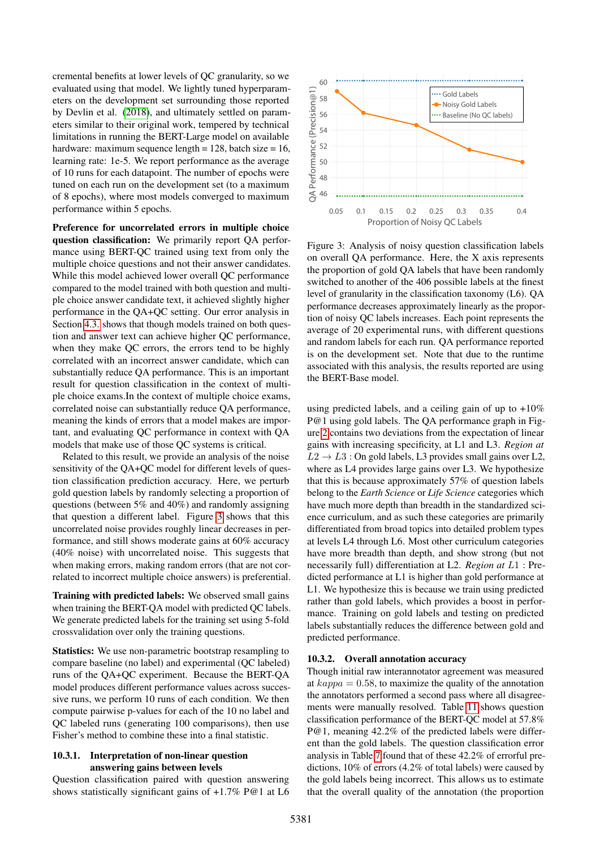cremental benefits at lower levels of QC granularity, so we evaluated using that model. We lightly tuned hyperparameters on the development set surrounding those reported by Devlin et al. [\(2018\)](#page-7-22), and ultimately settled on parameters similar to their original work, tempered by technical limitations in running the BERT-Large model on available hardware: maximum sequence length =  $128$ , batch size =  $16$ , learning rate: 1e-5. We report performance as the average of 10 runs for each datapoint. The number of epochs were tuned on each run on the development set (to a maximum of 8 epochs), where most models converged to maximum performance within 5 epochs.

Preference for uncorrelated errors in multiple choice question classification: We primarily report QA performance using BERT-QC trained using text from only the multiple choice questions and not their answer candidates. While this model achieved lower overall QC performance compared to the model trained with both question and multiple choice answer candidate text, it achieved slightly higher performance in the QA+QC setting. Our error analysis in Section [4.3.](#page-4-0) shows that though models trained on both question and answer text can achieve higher QC performance, when they make QC errors, the errors tend to be highly correlated with an incorrect answer candidate, which can substantially reduce QA performance. This is an important result for question classification in the context of multiple choice exams.In the context of multiple choice exams, correlated noise can substantially reduce QA performance, meaning the kinds of errors that a model makes are important, and evaluating QC performance in context with QA models that make use of those QC systems is critical.

Related to this result, we provide an analysis of the noise sensitivity of the QA+QC model for different levels of question classification prediction accuracy. Here, we perturb gold question labels by randomly selecting a proportion of questions (between 5% and 40%) and randomly assigning that question a different label. Figure [3](#page-11-1) shows that this uncorrelated noise provides roughly linear decreases in performance, and still shows moderate gains at 60% accuracy (40% noise) with uncorrelated noise. This suggests that when making errors, making random errors (that are not correlated to incorrect multiple choice answers) is preferential.

Training with predicted labels: We observed small gains when training the BERT-QA model with predicted QC labels. We generate predicted labels for the training set using 5-fold crossvalidation over only the training questions.

Statistics: We use non-parametric bootstrap resampling to compare baseline (no label) and experimental (QC labeled) runs of the QA+QC experiment. Because the BERT-QA model produces different performance values across successive runs, we perform 10 runs of each condition. We then compute pairwise p-values for each of the 10 no label and QC labeled runs (generating 100 comparisons), then use Fisher's method to combine these into a final statistic.

#### 10.3.1. Interpretation of non-linear question answering gains between levels

Question classification paired with question answering shows statistically significant gains of +1.7% P@1 at L6



<span id="page-11-1"></span>Figure 3: Analysis of noisy question classification labels on overall QA performance. Here, the X axis represents the proportion of gold QA labels that have been randomly switched to another of the 406 possible labels at the finest level of granularity in the classification taxonomy (L6). QA performance decreases approximately linearly as the proportion of noisy QC labels increases. Each point represents the average of 20 experimental runs, with different questions and random labels for each run. QA performance reported is on the development set. Note that due to the runtime associated with this analysis, the results reported are using the BERT-Base model.

using predicted labels, and a ceiling gain of up to  $+10\%$ P@1 using gold labels. The QA performance graph in Figure [2](#page-5-4) contains two deviations from the expectation of linear gains with increasing specificity, at L1 and L3. *Region at*  $L2 \rightarrow L3$ : On gold labels, L3 provides small gains over L2, where as L4 provides large gains over L3. We hypothesize that this is because approximately 57% of question labels belong to the *Earth Science* or *Life Science* categories which have much more depth than breadth in the standardized science curriculum, and as such these categories are primarily differentiated from broad topics into detailed problem types at levels L4 through L6. Most other curriculum categories have more breadth than depth, and show strong (but not necessarily full) differentiation at L2. *Region at* L1 : Predicted performance at L1 is higher than gold performance at L1. We hypothesize this is because we train using predicted rather than gold labels, which provides a boost in performance. Training on gold labels and testing on predicted labels substantially reduces the difference between gold and predicted performance.

#### <span id="page-11-0"></span>10.3.2. Overall annotation accuracy

Though initial raw interannotator agreement was measured at  $kappa = 0.58$ , to maximize the quality of the annotation the annotators performed a second pass where all disagreements were manually resolved. Table [11](#page-10-0) shows question classification performance of the BERT-QC model at 57.8% P@1, meaning 42.2% of the predicted labels were different than the gold labels. The question classification error analysis in Table [7](#page-5-0) found that of these 42.2% of errorful predictions, 10% of errors (4.2% of total labels) were caused by the gold labels being incorrect. This allows us to estimate that the overall quality of the annotation (the proportion